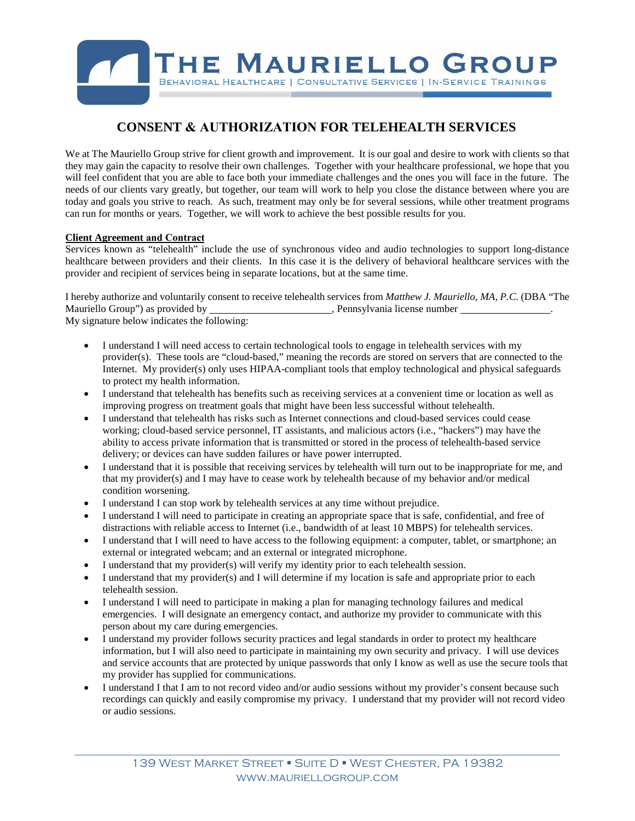

## **CONSENT & AUTHORIZATION FOR TELEHEALTH SERVICES**

We at The Mauriello Group strive for client growth and improvement. It is our goal and desire to work with clients so that they may gain the capacity to resolve their own challenges. Together with your healthcare professional, we hope that you will feel confident that you are able to face both your immediate challenges and the ones you will face in the future. The needs of our clients vary greatly, but together, our team will work to help you close the distance between where you are today and goals you strive to reach. As such, treatment may only be for several sessions, while other treatment programs can run for months or years. Together, we will work to achieve the best possible results for you.

## **Client Agreement and Contract**

Services known as "telehealth" include the use of synchronous video and audio technologies to support long-distance healthcare between providers and their clients. In this case it is the delivery of behavioral healthcare services with the provider and recipient of services being in separate locations, but at the same time.

I hereby authorize and voluntarily consent to receive telehealth services from *Matthew J. Mauriello, MA, P.C.* (DBA "The Mauriello Group") as provided by  $\blacksquare$ , Pennsylvania license number . My signature below indicates the following:

- I understand I will need access to certain technological tools to engage in telehealth services with my provider(s). These tools are "cloud-based," meaning the records are stored on servers that are connected to the Internet. My provider(s) only uses HIPAA-compliant tools that employ technological and physical safeguards to protect my health information.
- I understand that telehealth has benefits such as receiving services at a convenient time or location as well as improving progress on treatment goals that might have been less successful without telehealth.
- I understand that telehealth has risks such as Internet connections and cloud-based services could cease working; cloud-based service personnel, IT assistants, and malicious actors (i.e., "hackers") may have the ability to access private information that is transmitted or stored in the process of telehealth-based service delivery; or devices can have sudden failures or have power interrupted.
- I understand that it is possible that receiving services by telehealth will turn out to be inappropriate for me, and that my provider(s) and I may have to cease work by telehealth because of my behavior and/or medical condition worsening.
- I understand I can stop work by telehealth services at any time without prejudice.
- I understand I will need to participate in creating an appropriate space that is safe, confidential, and free of distractions with reliable access to Internet (i.e., bandwidth of at least 10 MBPS) for telehealth services.
- I understand that I will need to have access to the following equipment: a computer, tablet, or smartphone; an external or integrated webcam; and an external or integrated microphone.
- I understand that my provider(s) will verify my identity prior to each telehealth session.
- I understand that my provider(s) and I will determine if my location is safe and appropriate prior to each telehealth session.
- I understand I will need to participate in making a plan for managing technology failures and medical emergencies. I will designate an emergency contact, and authorize my provider to communicate with this person about my care during emergencies.
- I understand my provider follows security practices and legal standards in order to protect my healthcare information, but I will also need to participate in maintaining my own security and privacy. I will use devices and service accounts that are protected by unique passwords that only I know as well as use the secure tools that my provider has supplied for communications.
- I understand I that I am to not record video and/or audio sessions without my provider's consent because such recordings can quickly and easily compromise my privacy. I understand that my provider will not record video or audio sessions.